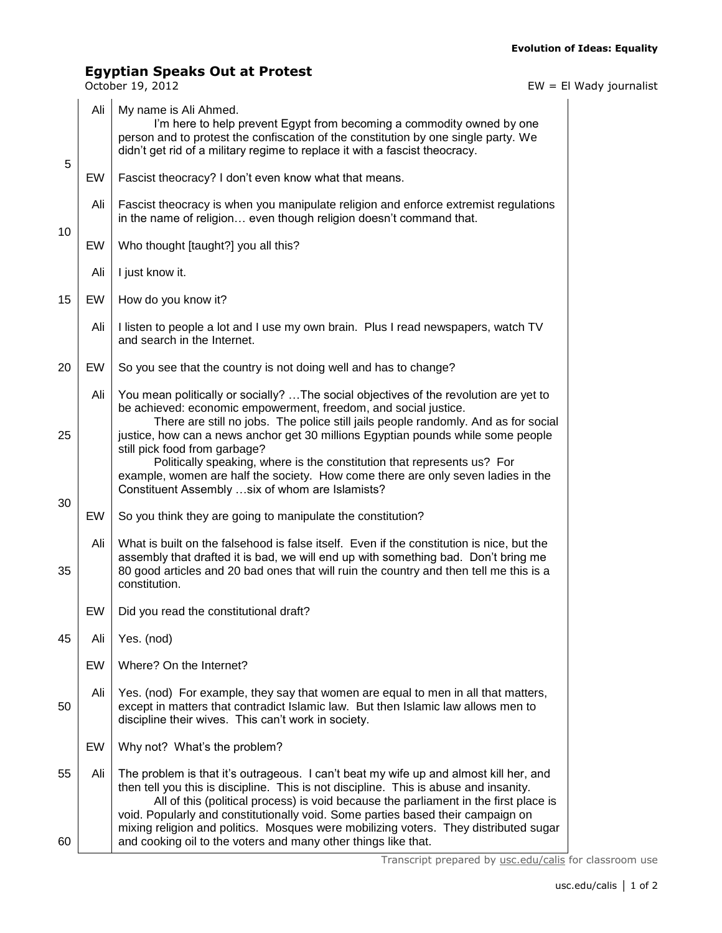## **Egyptian Speaks Out at Protest**

October 19, 2012 EW = El Wady journalist

|          | Ali | My name is Ali Ahmed.<br>I'm here to help prevent Egypt from becoming a commodity owned by one<br>person and to protest the confiscation of the constitution by one single party. We<br>didn't get rid of a military regime to replace it with a fascist theocracy.                                                                                                                                                                                                                                                 |  |  |  |
|----------|-----|---------------------------------------------------------------------------------------------------------------------------------------------------------------------------------------------------------------------------------------------------------------------------------------------------------------------------------------------------------------------------------------------------------------------------------------------------------------------------------------------------------------------|--|--|--|
| 5        | EW  | Fascist theocracy? I don't even know what that means.                                                                                                                                                                                                                                                                                                                                                                                                                                                               |  |  |  |
| 10       | Ali | Fascist theocracy is when you manipulate religion and enforce extremist regulations<br>in the name of religion even though religion doesn't command that.                                                                                                                                                                                                                                                                                                                                                           |  |  |  |
|          | EW  | Who thought [taught?] you all this?                                                                                                                                                                                                                                                                                                                                                                                                                                                                                 |  |  |  |
|          | Ali | I just know it.                                                                                                                                                                                                                                                                                                                                                                                                                                                                                                     |  |  |  |
| 15       | EW  | How do you know it?                                                                                                                                                                                                                                                                                                                                                                                                                                                                                                 |  |  |  |
|          | Ali | I listen to people a lot and I use my own brain. Plus I read newspapers, watch TV<br>and search in the Internet.                                                                                                                                                                                                                                                                                                                                                                                                    |  |  |  |
| 20       | EW  | So you see that the country is not doing well and has to change?                                                                                                                                                                                                                                                                                                                                                                                                                                                    |  |  |  |
|          | Ali | You mean politically or socially?  The social objectives of the revolution are yet to<br>be achieved: economic empowerment, freedom, and social justice.<br>There are still no jobs. The police still jails people randomly. And as for social                                                                                                                                                                                                                                                                      |  |  |  |
| 25       |     | justice, how can a news anchor get 30 millions Egyptian pounds while some people<br>still pick food from garbage?<br>Politically speaking, where is the constitution that represents us? For<br>example, women are half the society. How come there are only seven ladies in the<br>Constituent Assembly  six of whom are Islamists?                                                                                                                                                                                |  |  |  |
| 30       | EW  | So you think they are going to manipulate the constitution?                                                                                                                                                                                                                                                                                                                                                                                                                                                         |  |  |  |
| 35       | Ali | What is built on the falsehood is false itself. Even if the constitution is nice, but the<br>assembly that drafted it is bad, we will end up with something bad. Don't bring me<br>80 good articles and 20 bad ones that will ruin the country and then tell me this is a<br>constitution.                                                                                                                                                                                                                          |  |  |  |
|          | EW  | Did you read the constitutional draft?                                                                                                                                                                                                                                                                                                                                                                                                                                                                              |  |  |  |
| 45       | Ali | Yes. (nod)                                                                                                                                                                                                                                                                                                                                                                                                                                                                                                          |  |  |  |
|          | EW  | Where? On the Internet?                                                                                                                                                                                                                                                                                                                                                                                                                                                                                             |  |  |  |
| 50       | Ali | Yes. (nod) For example, they say that women are equal to men in all that matters,<br>except in matters that contradict Islamic law. But then Islamic law allows men to<br>discipline their wives. This can't work in society.                                                                                                                                                                                                                                                                                       |  |  |  |
|          | EW  | Why not? What's the problem?                                                                                                                                                                                                                                                                                                                                                                                                                                                                                        |  |  |  |
| 55<br>60 | Ali | The problem is that it's outrageous. I can't beat my wife up and almost kill her, and<br>then tell you this is discipline. This is not discipline. This is abuse and insanity.<br>All of this (political process) is void because the parliament in the first place is<br>void. Popularly and constitutionally void. Some parties based their campaign on<br>mixing religion and politics. Mosques were mobilizing voters. They distributed sugar<br>and cooking oil to the voters and many other things like that. |  |  |  |